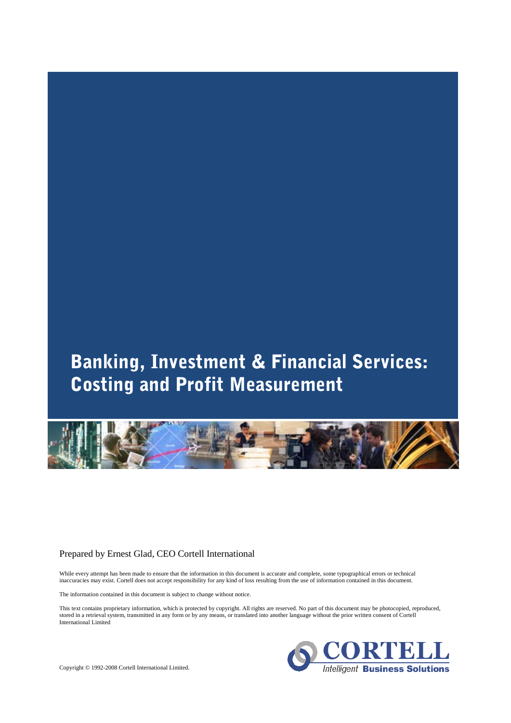# Banking, Investment & Financial Services: **Costing and Profit Measurement**



# Prepared by Ernest Glad, CEO Cortell International

While every attempt has been made to ensure that the information in this document is accurate and complete, some typographical errors or technical inaccuracies may exist. Cortell does not accept responsibility for any kind of loss resulting from the use of information contained in this document.

The information contained in this document is subject to change without notice.

This text contains proprietary information, which is protected by copyright. All rights are reserved. No part of this document may be photocopied, reproduced, stored in a retrieval system, transmitted in any form or by any means, or translated into another language without the prior written consent of Cortell International Limited



Copyright © 1992-2008 Cortell International Limited.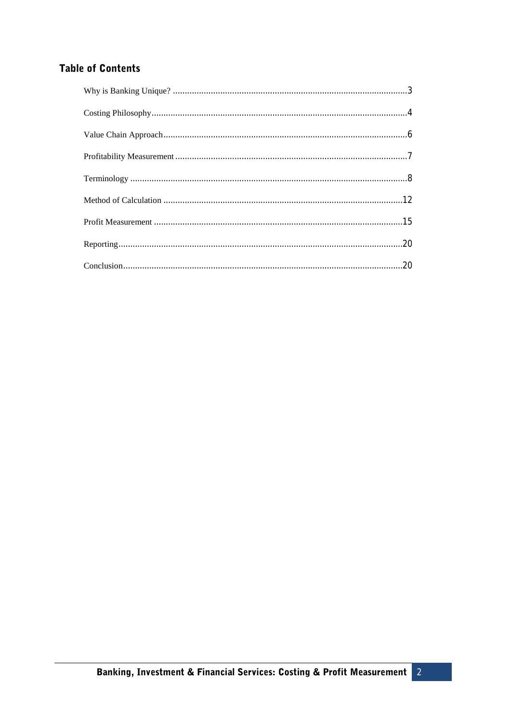# **Table of Contents**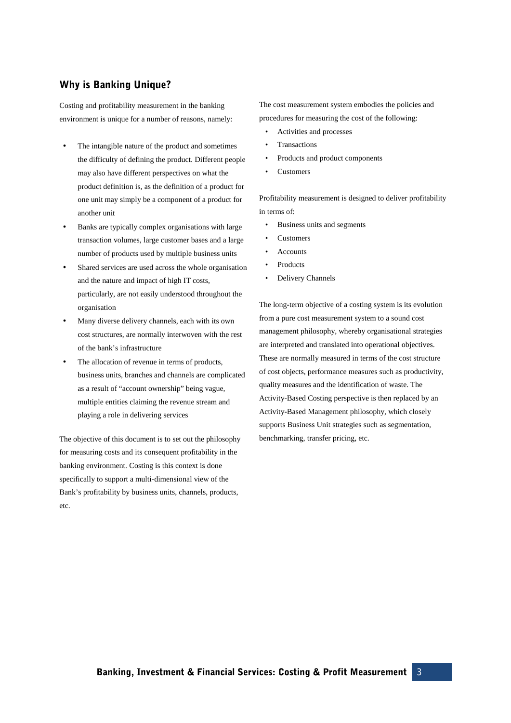# Why is Banking Unique?

Costing and profitability measurement in the banking environment is unique for a number of reasons, namely:

- The intangible nature of the product and sometimes the difficulty of defining the product. Different people may also have different perspectives on what the product definition is, as the definition of a product for one unit may simply be a component of a product for another unit
- Banks are typically complex organisations with large transaction volumes, large customer bases and a large number of products used by multiple business units
- Shared services are used across the whole organisation and the nature and impact of high IT costs, particularly, are not easily understood throughout the organisation
- Many diverse delivery channels, each with its own cost structures, are normally interwoven with the rest of the bank's infrastructure
- The allocation of revenue in terms of products, business units, branches and channels are complicated as a result of "account ownership" being vague, multiple entities claiming the revenue stream and playing a role in delivering services

The objective of this document is to set out the philosophy for measuring costs and its consequent profitability in the banking environment. Costing is this context is done specifically to support a multi-dimensional view of the Bank's profitability by business units, channels, products, etc.

The cost measurement system embodies the policies and procedures for measuring the cost of the following:

- Activities and processes
- **Transactions**
- Products and product components
- Customers

Profitability measurement is designed to deliver profitability in terms of:

- Business units and segments
- **Customers**
- **Accounts**
- Products
- Delivery Channels

The long-term objective of a costing system is its evolution from a pure cost measurement system to a sound cost management philosophy, whereby organisational strategies are interpreted and translated into operational objectives. These are normally measured in terms of the cost structure of cost objects, performance measures such as productivity, quality measures and the identification of waste. The Activity-Based Costing perspective is then replaced by an Activity-Based Management philosophy, which closely supports Business Unit strategies such as segmentation, benchmarking, transfer pricing, etc.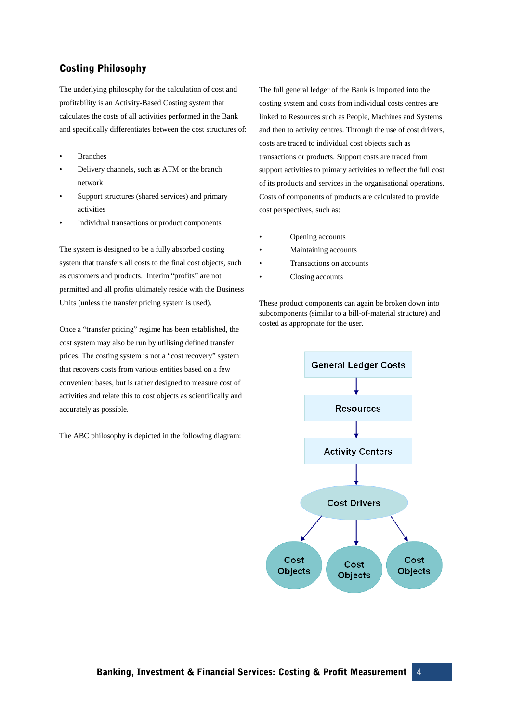# **Costing Philosophy**

The underlying philosophy for the calculation of cost and profitability is an Activity-Based Costing system that calculates the costs of all activities performed in the Bank and specifically differentiates between the cost structures of:

- **Branches**
- Delivery channels, such as ATM or the branch network
- Support structures (shared services) and primary activities
- Individual transactions or product components

The system is designed to be a fully absorbed costing system that transfers all costs to the final cost objects, such as customers and products. Interim "profits" are not permitted and all profits ultimately reside with the Business Units (unless the transfer pricing system is used).

Once a "transfer pricing" regime has been established, the cost system may also be run by utilising defined transfer prices. The costing system is not a "cost recovery" system that recovers costs from various entities based on a few convenient bases, but is rather designed to measure cost of activities and relate this to cost objects as scientifically and accurately as possible.

The ABC philosophy is depicted in the following diagram:

The full general ledger of the Bank is imported into the costing system and costs from individual costs centres are linked to Resources such as People, Machines and Systems and then to activity centres. Through the use of cost drivers, costs are traced to individual cost objects such as transactions or products. Support costs are traced from support activities to primary activities to reflect the full cost of its products and services in the organisational operations. Costs of components of products are calculated to provide cost perspectives, such as:

- Opening accounts
- Maintaining accounts
- Transactions on accounts
- Closing accounts

These product components can again be broken down into subcomponents (similar to a bill-of-material structure) and costed as appropriate for the user.

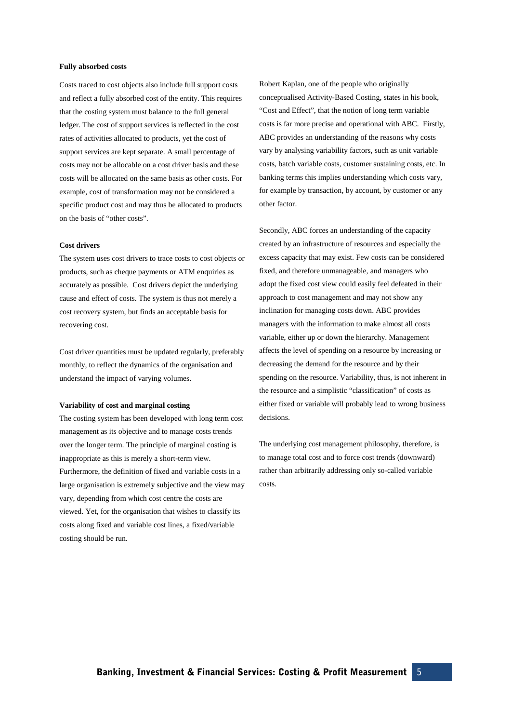#### **Fully absorbed costs**

Costs traced to cost objects also include full support costs and reflect a fully absorbed cost of the entity. This requires that the costing system must balance to the full general ledger. The cost of support services is reflected in the cost rates of activities allocated to products, yet the cost of support services are kept separate. A small percentage of costs may not be allocable on a cost driver basis and these costs will be allocated on the same basis as other costs. For example, cost of transformation may not be considered a specific product cost and may thus be allocated to products on the basis of "other costs".

#### **Cost drivers**

The system uses cost drivers to trace costs to cost objects or products, such as cheque payments or ATM enquiries as accurately as possible. Cost drivers depict the underlying cause and effect of costs. The system is thus not merely a cost recovery system, but finds an acceptable basis for recovering cost.

Cost driver quantities must be updated regularly, preferably monthly, to reflect the dynamics of the organisation and understand the impact of varying volumes.

#### **Variability of cost and marginal costing**

The costing system has been developed with long term cost management as its objective and to manage costs trends over the longer term. The principle of marginal costing is inappropriate as this is merely a short-term view. Furthermore, the definition of fixed and variable costs in a large organisation is extremely subjective and the view may vary, depending from which cost centre the costs are viewed. Yet, for the organisation that wishes to classify its costs along fixed and variable cost lines, a fixed/variable costing should be run.

Robert Kaplan, one of the people who originally conceptualised Activity-Based Costing, states in his book, "Cost and Effect", that the notion of long term variable costs is far more precise and operational with ABC. Firstly, ABC provides an understanding of the reasons why costs vary by analysing variability factors, such as unit variable costs, batch variable costs, customer sustaining costs, etc. In banking terms this implies understanding which costs vary, for example by transaction, by account, by customer or any other factor.

Secondly, ABC forces an understanding of the capacity created by an infrastructure of resources and especially the excess capacity that may exist. Few costs can be considered fixed, and therefore unmanageable, and managers who adopt the fixed cost view could easily feel defeated in their approach to cost management and may not show any inclination for managing costs down. ABC provides managers with the information to make almost all costs variable, either up or down the hierarchy. Management affects the level of spending on a resource by increasing or decreasing the demand for the resource and by their spending on the resource. Variability, thus, is not inherent in the resource and a simplistic "classification" of costs as either fixed or variable will probably lead to wrong business decisions.

The underlying cost management philosophy, therefore, is to manage total cost and to force cost trends (downward) rather than arbitrarily addressing only so-called variable costs.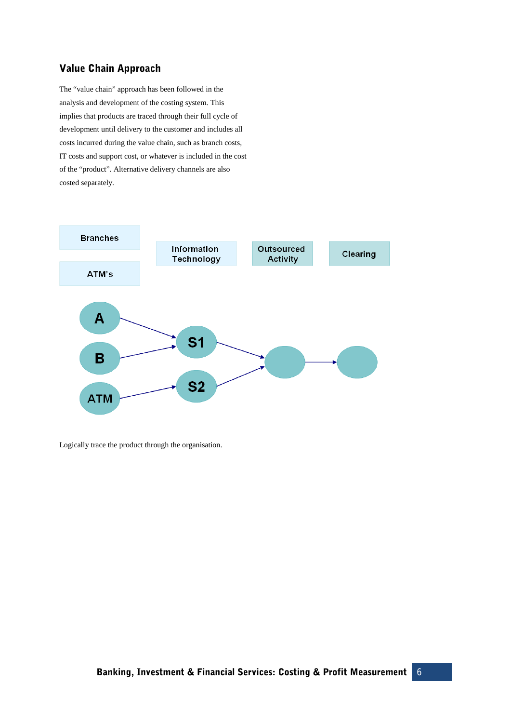# Value Chain Approach

The "value chain" approach has been followed in the analysis and development of the costing system. This implies that products are traced through their full cycle of development until delivery to the customer and includes all costs incurred during the value chain, such as branch costs, IT costs and support cost, or whatever is included in the cost of the "product". Alternative delivery channels are also costed separately.



Logically trace the product through the organisation.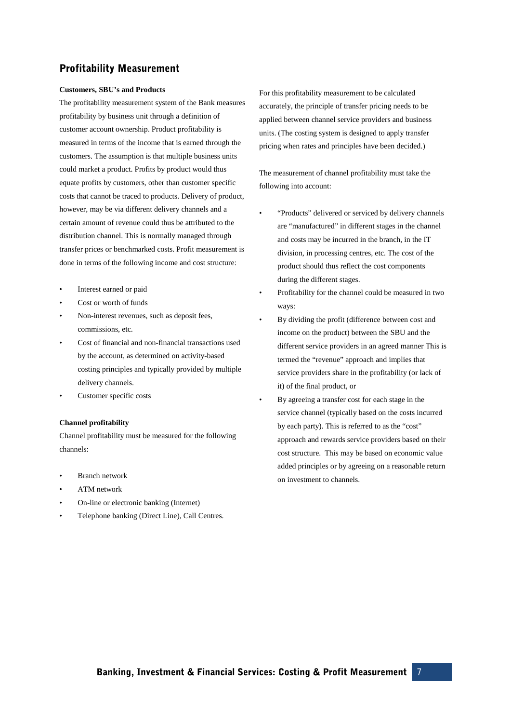# **Profitability Measurement**

### **Customers, SBU's and Products**

The profitability measurement system of the Bank measures profitability by business unit through a definition of customer account ownership. Product profitability is measured in terms of the income that is earned through the customers. The assumption is that multiple business units could market a product. Profits by product would thus equate profits by customers, other than customer specific costs that cannot be traced to products. Delivery of product, however, may be via different delivery channels and a certain amount of revenue could thus be attributed to the distribution channel. This is normally managed through transfer prices or benchmarked costs. Profit measurement is done in terms of the following income and cost structure:

- Interest earned or paid
- Cost or worth of funds
- Non-interest revenues, such as deposit fees, commissions, etc.
- Cost of financial and non-financial transactions used by the account, as determined on activity-based costing principles and typically provided by multiple delivery channels.
- Customer specific costs

# **Channel profitability**

Channel profitability must be measured for the following channels:

- Branch network
- ATM network
- On-line or electronic banking (Internet)
- Telephone banking (Direct Line), Call Centres.

For this profitability measurement to be calculated accurately, the principle of transfer pricing needs to be applied between channel service providers and business units. (The costing system is designed to apply transfer pricing when rates and principles have been decided.)

The measurement of channel profitability must take the following into account:

- "Products" delivered or serviced by delivery channels are "manufactured" in different stages in the channel and costs may be incurred in the branch, in the IT division, in processing centres, etc. The cost of the product should thus reflect the cost components during the different stages.
- Profitability for the channel could be measured in two ways:
- By dividing the profit (difference between cost and income on the product) between the SBU and the different service providers in an agreed manner This is termed the "revenue" approach and implies that service providers share in the profitability (or lack of it) of the final product, or
- By agreeing a transfer cost for each stage in the service channel (typically based on the costs incurred by each party). This is referred to as the "cost" approach and rewards service providers based on their cost structure. This may be based on economic value added principles or by agreeing on a reasonable return on investment to channels.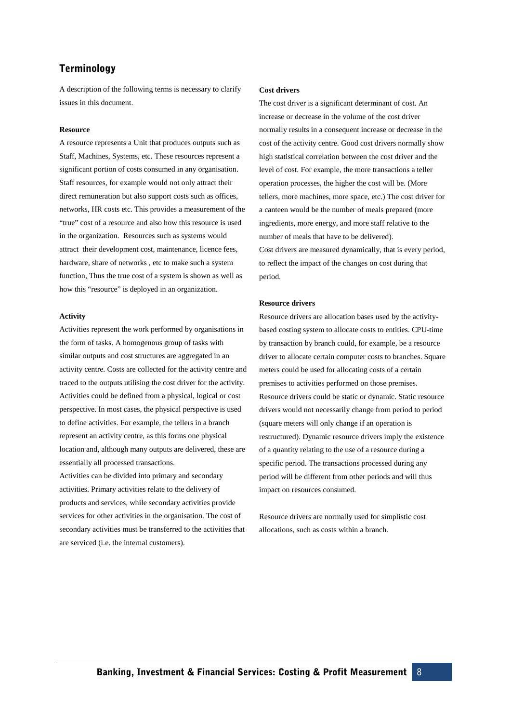# Terminology

A description of the following terms is necessary to clarify issues in this document.

#### **Resource**

A resource represents a Unit that produces outputs such as Staff, Machines, Systems, etc. These resources represent a significant portion of costs consumed in any organisation. Staff resources, for example would not only attract their direct remuneration but also support costs such as offices, networks, HR costs etc. This provides a measurement of the "true" cost of a resource and also how this resource is used in the organization. Resources such as systems would attract their development cost, maintenance, licence fees, hardware, share of networks , etc to make such a system function, Thus the true cost of a system is shown as well as how this "resource" is deployed in an organization.

### **Activity**

Activities represent the work performed by organisations in the form of tasks. A homogenous group of tasks with similar outputs and cost structures are aggregated in an activity centre. Costs are collected for the activity centre and traced to the outputs utilising the cost driver for the activity. Activities could be defined from a physical, logical or cost perspective. In most cases, the physical perspective is used to define activities. For example, the tellers in a branch represent an activity centre, as this forms one physical location and, although many outputs are delivered, these are essentially all processed transactions.

Activities can be divided into primary and secondary activities. Primary activities relate to the delivery of products and services, while secondary activities provide services for other activities in the organisation. The cost of secondary activities must be transferred to the activities that are serviced (i.e. the internal customers).

# **Cost drivers**

The cost driver is a significant determinant of cost. An increase or decrease in the volume of the cost driver normally results in a consequent increase or decrease in the cost of the activity centre. Good cost drivers normally show high statistical correlation between the cost driver and the level of cost. For example, the more transactions a teller operation processes, the higher the cost will be. (More tellers, more machines, more space, etc.) The cost driver for a canteen would be the number of meals prepared (more ingredients, more energy, and more staff relative to the number of meals that have to be delivered). Cost drivers are measured dynamically, that is every period, to reflect the impact of the changes on cost during that period.

#### **Resource drivers**

Resource drivers are allocation bases used by the activitybased costing system to allocate costs to entities. CPU-time by transaction by branch could, for example, be a resource driver to allocate certain computer costs to branches. Square meters could be used for allocating costs of a certain premises to activities performed on those premises. Resource drivers could be static or dynamic. Static resource drivers would not necessarily change from period to period (square meters will only change if an operation is restructured). Dynamic resource drivers imply the existence of a quantity relating to the use of a resource during a specific period. The transactions processed during any period will be different from other periods and will thus impact on resources consumed.

Resource drivers are normally used for simplistic cost allocations, such as costs within a branch.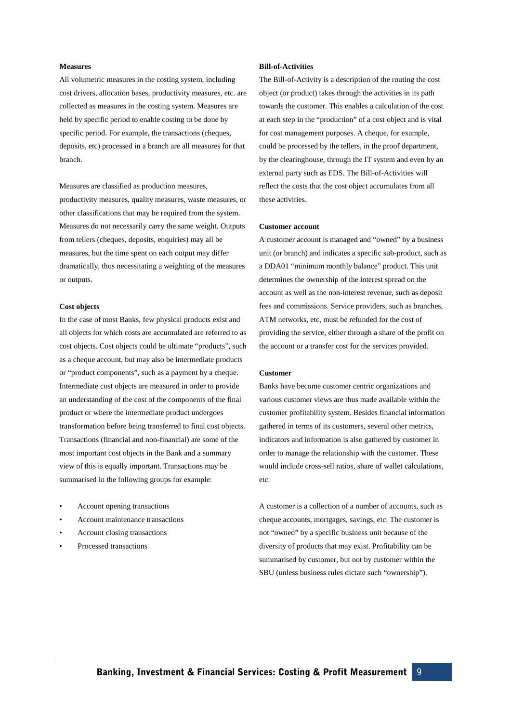#### **Measures**

All volumetric measures in the costing system, including cost drivers, allocation bases, productivity measures, etc. are collected as measures in the costing system. Measures are held by specific period to enable costing to be done by specific period. For example, the transactions (cheques, deposits, etc) processed in a branch are all measures for that branch.

Measures are classified as production measures, productivity measures, quality measures, waste measures, or other classifications that may be required from the system. Measures do not necessarily carry the same weight. Outputs from tellers (cheques, deposits, enquiries) may all be measures, but the time spent on each output may differ dramatically, thus necessitating a weighting of the measures or outputs.

### **Cost objects**

In the case of most Banks, few physical products exist and all objects for which costs are accumulated are referred to as cost objects. Cost objects could be ultimate "products", such as a cheque account, but may also be intermediate products or "product components", such as a payment by a cheque. Intermediate cost objects are measured in order to provide an understanding of the cost of the components of the final product or where the intermediate product undergoes transformation before being transferred to final cost objects. Transactions (financial and non-financial) are some of the most important cost objects in the Bank and a summary view of this is equally important. Transactions may be summarised in the following groups for example:

- Account opening transactions
- Account maintenance transactions
- Account closing transactions
- Processed transactions

#### **Bill-of-Activities**

The Bill-of-Activity is a description of the routing the cost object (or product) takes through the activities in its path towards the customer. This enables a calculation of the cost at each step in the "production" of a cost object and is vital for cost management purposes. A cheque, for example, could be processed by the tellers, in the proof department, by the clearinghouse, through the IT system and even by an external party such as EDS. The Bill-of-Activities will reflect the costs that the cost object accumulates from all these activities.

### **Customer account**

A customer account is managed and "owned" by a business unit (or branch) and indicates a specific sub-product, such as a DDA01 "minimum monthly balance" product. This unit determines the ownership of the interest spread on the account as well as the non-interest revenue, such as deposit fees and commissions. Service providers, such as branches, ATM networks, etc, must be refunded for the cost of providing the service, either through a share of the profit on the account or a transfer cost for the services provided.

#### **Customer**

Banks have become customer centric organizations and various customer views are thus made available within the customer profitability system. Besides financial information gathered in terms of its customers, several other metrics, indicators and information is also gathered by customer in order to manage the relationship with the customer. These would include cross-sell ratios, share of wallet calculations, etc.

A customer is a collection of a number of accounts, such as cheque accounts, mortgages, savings, etc. The customer is not "owned" by a specific business unit because of the diversity of products that may exist. Profitability can be summarised by customer, but not by customer within the SBU (unless business rules dictate such "ownership").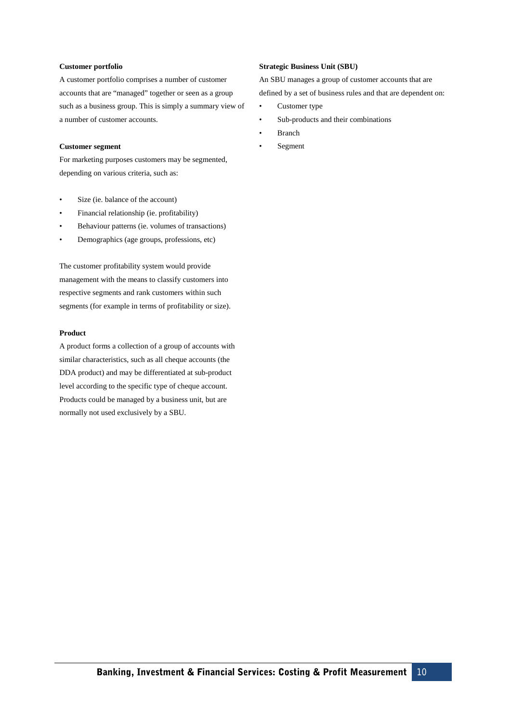### **Customer portfolio**

A customer portfolio comprises a number of customer accounts that are "managed" together or seen as a group such as a business group. This is simply a summary view of a number of customer accounts.

### **Customer segment**

For marketing purposes customers may be segmented, depending on various criteria, such as:

- Size (ie. balance of the account)
- Financial relationship (ie. profitability)
- Behaviour patterns (ie. volumes of transactions)
- Demographics (age groups, professions, etc)

The customer profitability system would provide management with the means to classify customers into respective segments and rank customers within such segments (for example in terms of profitability or size).

# **Product**

A product forms a collection of a group of accounts with similar characteristics, such as all cheque accounts (the DDA product) and may be differentiated at sub-product level according to the specific type of cheque account. Products could be managed by a business unit, but are normally not used exclusively by a SBU.

### **Strategic Business Unit (SBU)**

An SBU manages a group of customer accounts that are defined by a set of business rules and that are dependent on:

- Customer type
- Sub-products and their combinations
- **Branch**
- **Segment**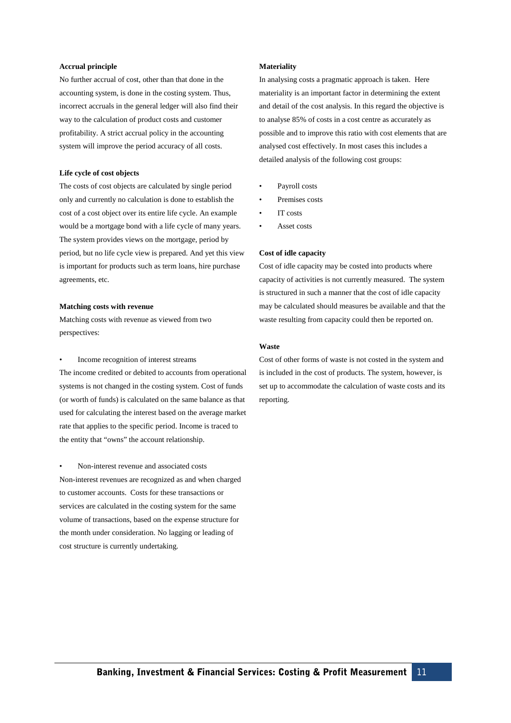#### **Accrual principle**

No further accrual of cost, other than that done in the accounting system, is done in the costing system. Thus, incorrect accruals in the general ledger will also find their way to the calculation of product costs and customer profitability. A strict accrual policy in the accounting system will improve the period accuracy of all costs.

### **Life cycle of cost objects**

The costs of cost objects are calculated by single period only and currently no calculation is done to establish the cost of a cost object over its entire life cycle. An example would be a mortgage bond with a life cycle of many years. The system provides views on the mortgage, period by period, but no life cycle view is prepared. And yet this view is important for products such as term loans, hire purchase agreements, etc.

#### **Matching costs with revenue**

Matching costs with revenue as viewed from two perspectives:

• Income recognition of interest streams

The income credited or debited to accounts from operational systems is not changed in the costing system. Cost of funds (or worth of funds) is calculated on the same balance as that used for calculating the interest based on the average market rate that applies to the specific period. Income is traced to the entity that "owns" the account relationship.

#### • Non-interest revenue and associated costs

Non-interest revenues are recognized as and when charged to customer accounts. Costs for these transactions or services are calculated in the costing system for the same volume of transactions, based on the expense structure for the month under consideration. No lagging or leading of cost structure is currently undertaking.

#### **Materiality**

In analysing costs a pragmatic approach is taken. Here materiality is an important factor in determining the extent and detail of the cost analysis. In this regard the objective is to analyse 85% of costs in a cost centre as accurately as possible and to improve this ratio with cost elements that are analysed cost effectively. In most cases this includes a detailed analysis of the following cost groups:

- Payroll costs
- Premises costs
- IT costs
- Asset costs

### **Cost of idle capacity**

Cost of idle capacity may be costed into products where capacity of activities is not currently measured. The system is structured in such a manner that the cost of idle capacity may be calculated should measures be available and that the waste resulting from capacity could then be reported on.

#### **Waste**

Cost of other forms of waste is not costed in the system and is included in the cost of products. The system, however, is set up to accommodate the calculation of waste costs and its reporting.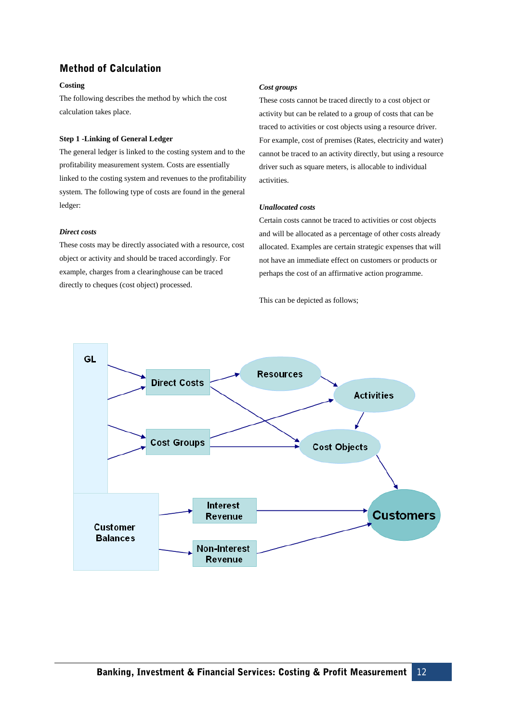# **Method of Calculation**

# **Costing**

The following describes the method by which the cost calculation takes place.

# **Step 1 -Linking of General Ledger**

The general ledger is linked to the costing system and to the profitability measurement system. Costs are essentially linked to the costing system and revenues to the profitability system. The following type of costs are found in the general ledger:

# *Direct costs*

These costs may be directly associated with a resource, cost object or activity and should be traced accordingly. For example, charges from a clearinghouse can be traced directly to cheques (cost object) processed.

# *Cost groups*

These costs cannot be traced directly to a cost object or activity but can be related to a group of costs that can be traced to activities or cost objects using a resource driver. For example, cost of premises (Rates, electricity and water) cannot be traced to an activity directly, but using a resource driver such as square meters, is allocable to individual activities.

# *Unallocated costs*

Certain costs cannot be traced to activities or cost objects and will be allocated as a percentage of other costs already allocated. Examples are certain strategic expenses that will not have an immediate effect on customers or products or perhaps the cost of an affirmative action programme.

This can be depicted as follows;

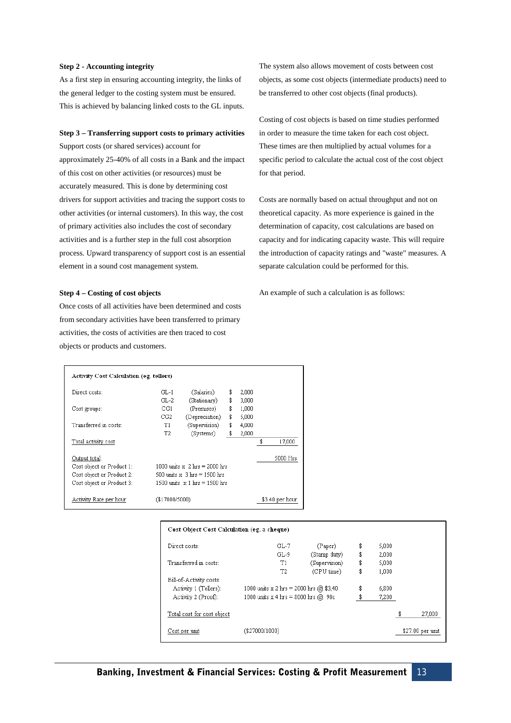#### **Step 2 - Accounting integrity**

As a first step in ensuring accounting integrity, the links of the general ledger to the costing system must be ensured. This is achieved by balancing linked costs to the GL inputs.

#### **Step 3 – Transferring support costs to primary activities**

Support costs (or shared services) account for approximately 25-40% of all costs in a Bank and the impact of this cost on other activities (or resources) must be accurately measured. This is done by determining cost drivers for support activities and tracing the support costs to other activities (or internal customers). In this way, the cost of primary activities also includes the cost of secondary activities and is a further step in the full cost absorption process. Upward transparency of support cost is an essential element in a sound cost management system.

#### **Step 4 – Costing of cost objects**

Once costs of all activities have been determined and costs from secondary activities have been transferred to primary activities, the costs of activities are then traced to cost objects or products and customers.

The system also allows movement of costs between cost objects, as some cost objects (intermediate products) need to be transferred to other cost objects (final products).

Costing of cost objects is based on time studies performed in order to measure the time taken for each cost object. These times are then multiplied by actual volumes for a specific period to calculate the actual cost of the cost object for that period.

Costs are normally based on actual throughput and not on theoretical capacity. As more experience is gained in the determination of capacity, cost calculations are based on capacity and for indicating capacity waste. This will require the introduction of capacity ratings and "waste" measures. A separate calculation could be performed for this.

An example of such a calculation is as follows:

| Activity Cost Calculation (eg. tellers) |                                        |                |    |                  |    |          |  |
|-----------------------------------------|----------------------------------------|----------------|----|------------------|----|----------|--|
| Direct costs:                           | GL-1                                   | (Salaries)     | \$ | 2.000            |    |          |  |
|                                         | $GL-2$                                 | (Stationary)   | \$ | 3,000            |    |          |  |
| Cost groups:                            | CG1                                    | (Premises)     | \$ | 1.000            |    |          |  |
|                                         | CG2                                    | (Depreciation) | \$ | 5.000            |    |          |  |
| Transferred in costs:                   | T1                                     | (Supervision)  | \$ | 4,000            |    |          |  |
|                                         | T2                                     | (Systems)      | \$ | 2,000            |    |          |  |
| Total activity cost                     |                                        |                |    |                  | \$ | 17,000   |  |
| Output total:                           |                                        |                |    |                  |    | 5000 Hrs |  |
| Cost object or Product 1:               | 1000 units $x \times 2$ hrs = 2000 hrs |                |    |                  |    |          |  |
| Cost object or Product 2:               | 500 units $x = 3$ hrs = 1500 hrs       |                |    |                  |    |          |  |
| Cost object or Product 3:               | 1500 units $\times$ 1 hrs = 1500 hrs   |                |    |                  |    |          |  |
| Activity Rate per hour                  | $(\$17000/5000)$                       |                |    | $$3.40$ per hour |    |          |  |

#### Cost Object Cost Calculation (eg. a cheque)

| Direct costs:              | $GL-7$                                   | (Paper)       | \$<br>5.000 |                   |
|----------------------------|------------------------------------------|---------------|-------------|-------------------|
|                            | $GL-9$                                   | (Stamp duty)  | \$<br>2,000 |                   |
| Transferred in costs:      | T1                                       | (Supervision) | \$<br>5,000 |                   |
|                            | T2                                       | (CPU time)    | \$<br>1.000 |                   |
| Bill-of-Activity costs:    |                                          |               |             |                   |
| Activity 1 (Tellers):      | 1000 units x 2 hrs = 2000 hrs $@$ \$3,40 |               | \$<br>6,800 |                   |
| Activity 2 (Proof):        | 1000 units x 4 hrs = 8000 hrs @ 90c      |               | \$<br>7.200 |                   |
| Total cost for cost object |                                          |               |             | \$<br>27,000      |
| Cost per unit              | (\$27000/1000)                           |               |             | $$27.00$ per unit |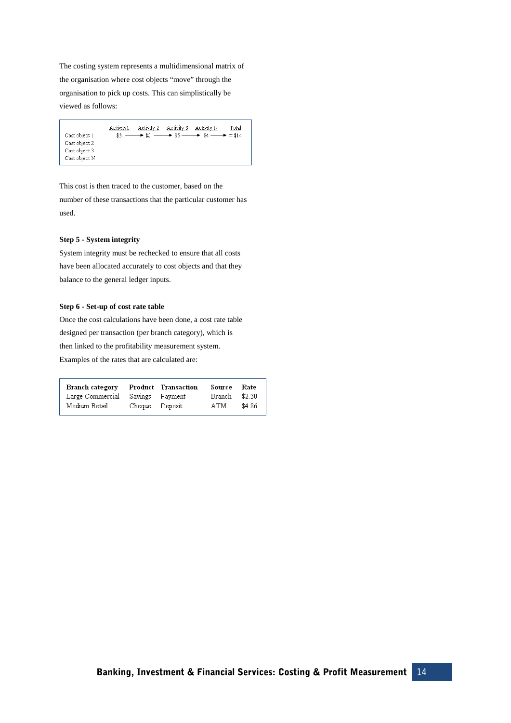The costing system represents a multidimensional matrix of the organisation where cost objects "move" through the organisation to pick up costs. This can simplistically be viewed as follows:

| Cost object 1 | Activity1<br>\$3 | Activity 2 | Activity 3 | Activity N<br>$\longrightarrow$ \$2 $\longrightarrow$ \$5 $\longrightarrow$ \$4 $\longrightarrow$ = \$14 | Total |
|---------------|------------------|------------|------------|----------------------------------------------------------------------------------------------------------|-------|
| Cost object 2 |                  |            |            |                                                                                                          |       |
| Cost object 3 |                  |            |            |                                                                                                          |       |
| Cost object N |                  |            |            |                                                                                                          |       |

This cost is then traced to the customer, based on the number of these transactions that the particular customer has used.

# **Step 5 - System integrity**

System integrity must be rechecked to ensure that all costs have been allocated accurately to cost objects and that they balance to the general ledger inputs.

# **Step 6 - Set-up of cost rate table**

Once the cost calculations have been done, a cost rate table designed per transaction (per branch category), which is then linked to the profitability measurement system. Examples of the rates that are calculated are:

| Branch category  |                | Product Transaction | Source | Rate   |
|------------------|----------------|---------------------|--------|--------|
| Large Commercial |                | Savings Payment     | Branch | \$2.30 |
| Medium Retail    | Cheque Deposit |                     | ATM    | \$4.86 |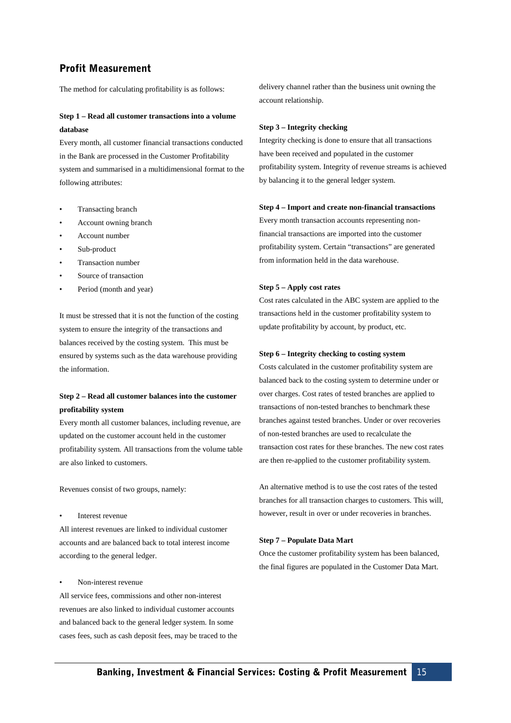# **Profit Measurement**

The method for calculating profitability is as follows:

# **Step 1 – Read all customer transactions into a volume database**

Every month, all customer financial transactions conducted in the Bank are processed in the Customer Profitability system and summarised in a multidimensional format to the following attributes:

- Transacting branch
- Account owning branch
- Account number
- Sub-product
- Transaction number
- Source of transaction
- Period (month and year)

It must be stressed that it is not the function of the costing system to ensure the integrity of the transactions and balances received by the costing system. This must be ensured by systems such as the data warehouse providing the information.

# **Step 2 – Read all customer balances into the customer profitability system**

Every month all customer balances, including revenue, are updated on the customer account held in the customer profitability system. All transactions from the volume table are also linked to customers.

Revenues consist of two groups, namely:

Interest revenue

All interest revenues are linked to individual customer accounts and are balanced back to total interest income according to the general ledger.

#### Non-interest revenue

All service fees, commissions and other non-interest revenues are also linked to individual customer accounts and balanced back to the general ledger system. In some cases fees, such as cash deposit fees, may be traced to the delivery channel rather than the business unit owning the account relationship.

#### **Step 3 – Integrity checking**

Integrity checking is done to ensure that all transactions have been received and populated in the customer profitability system. Integrity of revenue streams is achieved by balancing it to the general ledger system.

#### **Step 4 – Import and create non-financial transactions**

Every month transaction accounts representing nonfinancial transactions are imported into the customer profitability system. Certain "transactions" are generated from information held in the data warehouse.

#### **Step 5 – Apply cost rates**

Cost rates calculated in the ABC system are applied to the transactions held in the customer profitability system to update profitability by account, by product, etc.

#### **Step 6 – Integrity checking to costing system**

Costs calculated in the customer profitability system are balanced back to the costing system to determine under or over charges. Cost rates of tested branches are applied to transactions of non-tested branches to benchmark these branches against tested branches. Under or over recoveries of non-tested branches are used to recalculate the transaction cost rates for these branches. The new cost rates are then re-applied to the customer profitability system.

An alternative method is to use the cost rates of the tested branches for all transaction charges to customers. This will, however, result in over or under recoveries in branches.

#### **Step 7 – Populate Data Mart**

Once the customer profitability system has been balanced, the final figures are populated in the Customer Data Mart.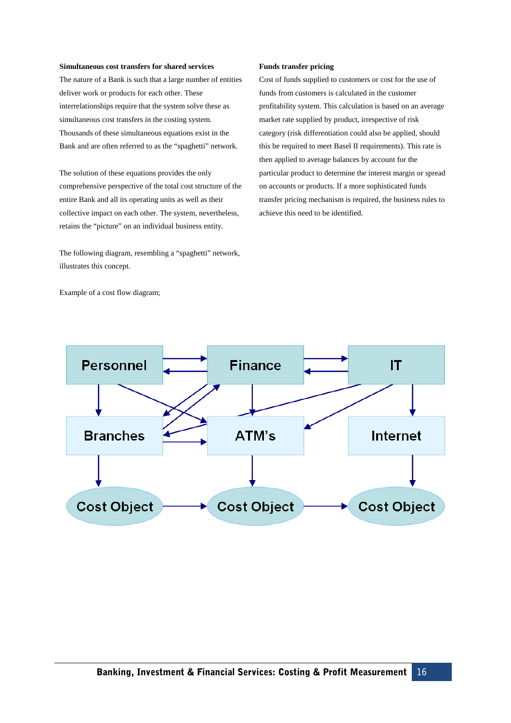#### **Simultaneous cost transfers for shared services**

The nature of a Bank is such that a large number of entities deliver work or products for each other. These interrelationships require that the system solve these as simultaneous cost transfers in the costing system. Thousands of these simultaneous equations exist in the Bank and are often referred to as the "spaghetti" network.

The solution of these equations provides the only comprehensive perspective of the total cost structure of the entire Bank and all its operating units as well as their collective impact on each other. The system, nevertheless, retains the "picture" on an individual business entity.

The following diagram, resembling a "spaghetti" network, illustrates this concept.

Example of a cost flow diagram;

#### **Funds transfer pricing**

Cost of funds supplied to customers or cost for the use of funds from customers is calculated in the customer profitability system. This calculation is based on an average market rate supplied by product, irrespective of risk category (risk differentiation could also be applied, should this be required to meet Basel II requirements). This rate is then applied to average balances by account for the particular product to determine the interest margin or spread on accounts or products. If a more sophisticated funds transfer pricing mechanism is required, the business rules to achieve this need to be identified.

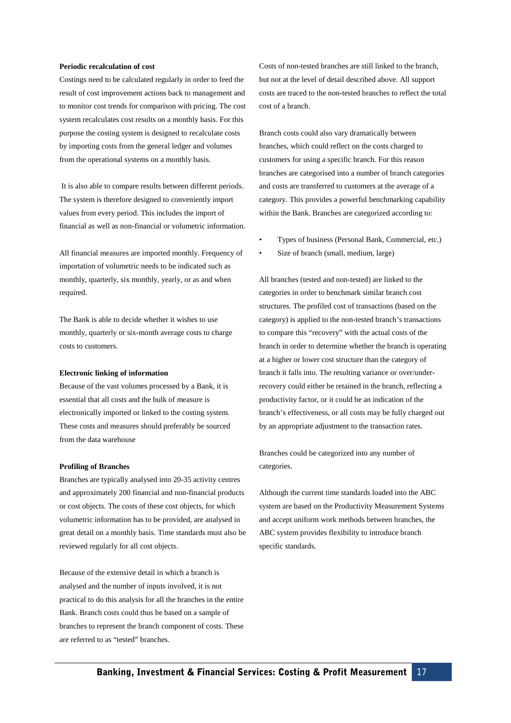#### **Periodic recalculation of cost**

Costings need to be calculated regularly in order to feed the result of cost improvement actions back to management and to monitor cost trends for comparison with pricing. The cost system recalculates cost results on a monthly basis. For this purpose the costing system is designed to recalculate costs by importing costs from the general ledger and volumes from the operational systems on a monthly basis.

It is also able to compare results between different periods. The system is therefore designed to conveniently import values from every period. This includes the import of financial as well as non-financial or volumetric information.

All financial measures are imported monthly. Frequency of importation of volumetric needs to be indicated such as monthly, quarterly, six monthly, yearly, or as and when required.

The Bank is able to decide whether it wishes to use monthly, quarterly or six-month average costs to charge costs to customers.

#### **Electronic linking of information**

Because of the vast volumes processed by a Bank, it is essential that all costs and the bulk of measure is electronically imported or linked to the costing system. These costs and measures should preferably be sourced from the data warehouse

#### **Profiling of Branches**

Branches are typically analysed into 20-35 activity centres and approximately 200 financial and non-financial products or cost objects. The costs of these cost objects, for which volumetric information has to be provided, are analysed in great detail on a monthly basis. Time standards must also be reviewed regularly for all cost objects.

Because of the extensive detail in which a branch is analysed and the number of inputs involved, it is not practical to do this analysis for all the branches in the entire Bank. Branch costs could thus be based on a sample of branches to represent the branch component of costs. These are referred to as "tested" branches.

Costs of non-tested branches are still linked to the branch, but not at the level of detail described above. All support costs are traced to the non-tested branches to reflect the total cost of a branch.

Branch costs could also vary dramatically between branches, which could reflect on the costs charged to customers for using a specific branch. For this reason branches are categorised into a number of branch categories and costs are transferred to customers at the average of a category. This provides a powerful benchmarking capability within the Bank. Branches are categorized according to:

- Types of business (Personal Bank, Commercial, etc.)
- Size of branch (small, medium, large)

All branches (tested and non-tested) are linked to the categories in order to benchmark similar branch cost structures. The profiled cost of transactions (based on the category) is applied to the non-tested branch's transactions to compare this "recovery" with the actual costs of the branch in order to determine whether the branch is operating at a higher or lower cost structure than the category of branch it falls into. The resulting variance or over/underrecovery could either be retained in the branch, reflecting a productivity factor, or it could be an indication of the branch's effectiveness, or all costs may be fully charged out by an appropriate adjustment to the transaction rates.

Branches could be categorized into any number of categories.

Although the current time standards loaded into the ABC system are based on the Productivity Measurement Systems and accept uniform work methods between branches, the ABC system provides flexibility to introduce branch specific standards.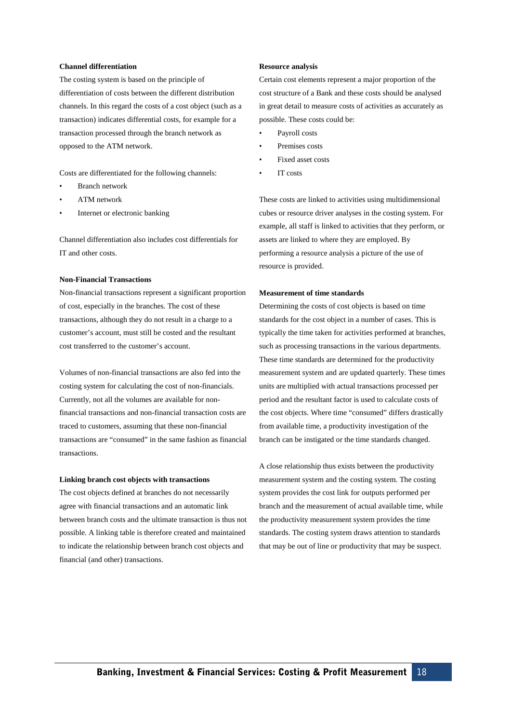#### **Channel differentiation**

The costing system is based on the principle of differentiation of costs between the different distribution channels. In this regard the costs of a cost object (such as a transaction) indicates differential costs, for example for a transaction processed through the branch network as opposed to the ATM network.

Costs are differentiated for the following channels:

- Branch network
- ATM network
- Internet or electronic banking

Channel differentiation also includes cost differentials for IT and other costs.

### **Non-Financial Transactions**

Non-financial transactions represent a significant proportion of cost, especially in the branches. The cost of these transactions, although they do not result in a charge to a customer's account, must still be costed and the resultant cost transferred to the customer's account.

Volumes of non-financial transactions are also fed into the costing system for calculating the cost of non-financials. Currently, not all the volumes are available for nonfinancial transactions and non-financial transaction costs are traced to customers, assuming that these non-financial transactions are "consumed" in the same fashion as financial transactions.

#### **Linking branch cost objects with transactions**

The cost objects defined at branches do not necessarily agree with financial transactions and an automatic link between branch costs and the ultimate transaction is thus not possible. A linking table is therefore created and maintained to indicate the relationship between branch cost objects and financial (and other) transactions.

#### **Resource analysis**

Certain cost elements represent a major proportion of the cost structure of a Bank and these costs should be analysed in great detail to measure costs of activities as accurately as possible. These costs could be:

- Payroll costs
- Premises costs
- Fixed asset costs
- IT costs

These costs are linked to activities using multidimensional cubes or resource driver analyses in the costing system. For example, all staff is linked to activities that they perform, or assets are linked to where they are employed. By performing a resource analysis a picture of the use of resource is provided.

#### **Measurement of time standards**

Determining the costs of cost objects is based on time standards for the cost object in a number of cases. This is typically the time taken for activities performed at branches, such as processing transactions in the various departments. These time standards are determined for the productivity measurement system and are updated quarterly. These times units are multiplied with actual transactions processed per period and the resultant factor is used to calculate costs of the cost objects. Where time "consumed" differs drastically from available time, a productivity investigation of the branch can be instigated or the time standards changed.

A close relationship thus exists between the productivity measurement system and the costing system. The costing system provides the cost link for outputs performed per branch and the measurement of actual available time, while the productivity measurement system provides the time standards. The costing system draws attention to standards that may be out of line or productivity that may be suspect.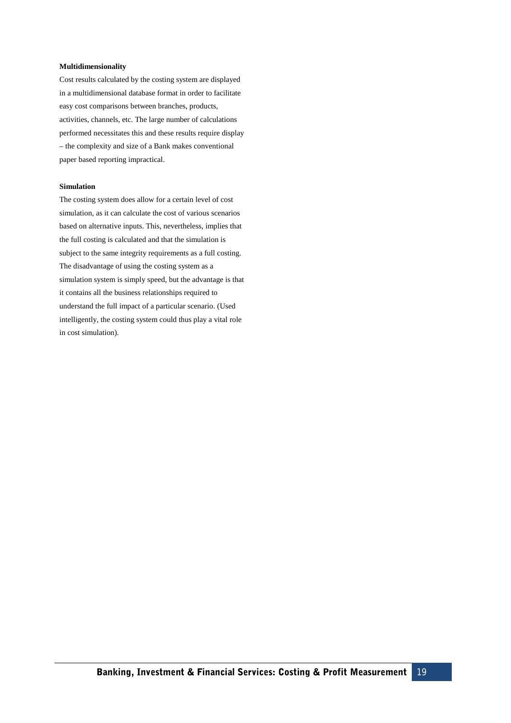### **Multidimensionality**

Cost results calculated by the costing system are displayed in a multidimensional database format in order to facilitate easy cost comparisons between branches, products, activities, channels, etc. The large number of calculations performed necessitates this and these results require display – the complexity and size of a Bank makes conventional paper based reporting impractical.

# **Simulation**

The costing system does allow for a certain level of cost simulation, as it can calculate the cost of various scenarios based on alternative inputs. This, nevertheless, implies that the full costing is calculated and that the simulation is subject to the same integrity requirements as a full costing. The disadvantage of using the costing system as a simulation system is simply speed, but the advantage is that it contains all the business relationships required to understand the full impact of a particular scenario. (Used intelligently, the costing system could thus play a vital role in cost simulation).